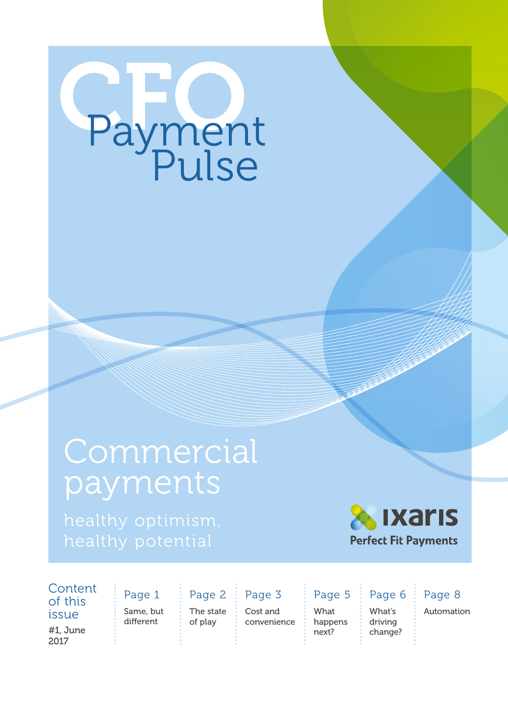# Paymen Payment

### **Commercial** payments



**Content** of this issue : Same, but

#1, June 2017

different Page 1 The state of play Page 2

Page 3

Cost and convenience What happens next? Page 5

What's driving change? Page 6 Page 8

Automation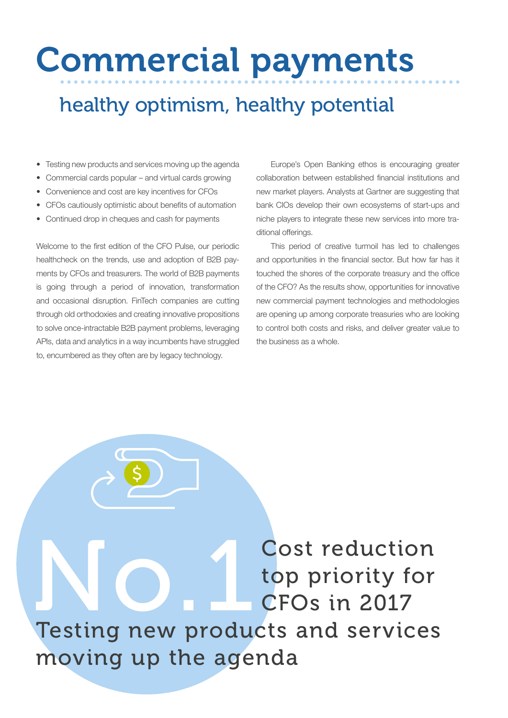### Commercial payments

### healthy optimism, healthy potential

- Testing new products and services moving up the agenda
- Commercial cards popular and virtual cards growing
- Convenience and cost are key incentives for CFOs
- CFOs cautiously optimistic about benefits of automation
- Continued drop in cheques and cash for payments

Welcome to the first edition of the CFO Pulse, our periodic healthcheck on the trends, use and adoption of B2B payments by CFOs and treasurers. The world of B2B payments is going through a period of innovation, transformation and occasional disruption. FinTech companies are cutting through old orthodoxies and creating innovative propositions to solve once-intractable B2B payment problems, leveraging APIs, data and analytics in a way incumbents have struggled to, encumbered as they often are by legacy technology.

Europe's Open Banking ethos is encouraging greater collaboration between established financial institutions and new market players. Analysts at Gartner are suggesting that bank CIOs develop their own ecosystems of start-ups and niche players to integrate these new services into more traditional offerings.

This period of creative turmoil has led to challenges and opportunities in the financial sector. But how far has it touched the shores of the corporate treasury and the office of the CFO? As the results show, opportunities for innovative new commercial payment technologies and methodologies are opening up among corporate treasuries who are looking to control both costs and risks, and deliver greater value to the business as a whole.

NO. 1 Cost reduction<br>CFOs in 2017<br>Testing new products and services top priority for CFOs in 2017

Testing new products and services moving up the agenda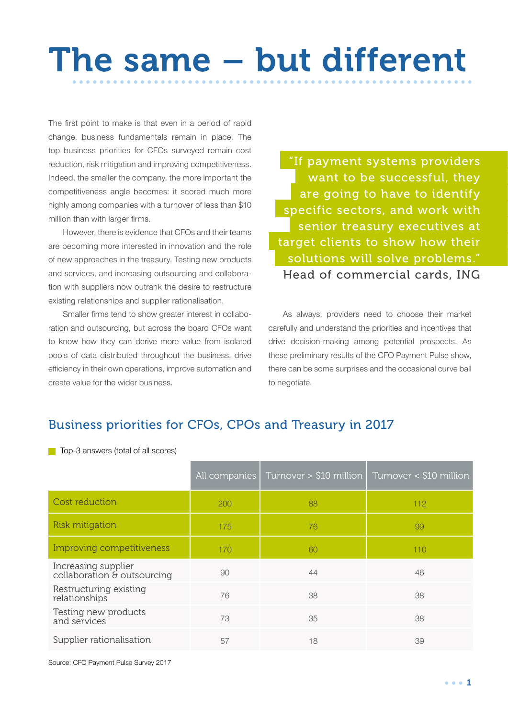# The same – but different

The first point to make is that even in a period of rapid change, business fundamentals remain in place. The top business priorities for CFOs surveyed remain cost reduction, risk mitigation and improving competitiveness. Indeed, the smaller the company, the more important the competitiveness angle becomes: it scored much more highly among companies with a turnover of less than \$10 million than with larger firms.

However, there is evidence that CFOs and their teams are becoming more interested in innovation and the role of new approaches in the treasury. Testing new products and services, and increasing outsourcing and collaboration with suppliers now outrank the desire to restructure existing relationships and supplier rationalisation.

Smaller firms tend to show greater interest in collaboration and outsourcing, but across the board CFOs want to know how they can derive more value from isolated pools of data distributed throughout the business, drive efficiency in their own operations, improve automation and create value for the wider business.

"If payment systems providers want to be successful, they are going to have to identify specific sectors, and work with senior treasury executives at target clients to show how their solutions will solve problems." Head of commercial cards, ING

As always, providers need to choose their market carefully and understand the priorities and incentives that drive decision-making among potential prospects. As these preliminary results of the CFO Payment Pulse show, there can be some surprises and the occasional curve ball to negotiate.

#### Business priorities for CFOs, CPOs and Treasury in 2017

Top-3 answers (total of all scores)

|                                                    | All companies | Turnover $>$ \$10 million Turnover < \$10 million |     |
|----------------------------------------------------|---------------|---------------------------------------------------|-----|
| Cost reduction                                     | 200           | 88                                                | 112 |
| <b>Risk mitigation</b>                             | 175           | 76                                                | 99  |
| Improving competitiveness                          | 170           | 60                                                | 110 |
| Increasing supplier<br>collaboration & outsourcing | 90            | 44                                                | 46  |
| Restructuring existing<br>relationships            | 76            | 38                                                | 38  |
| Testing new products<br>and services               | 73            | 35                                                | 38  |
| Supplier rationalisation                           | 57            | 18                                                | 39  |

Source: CFO Payment Pulse Survey 2017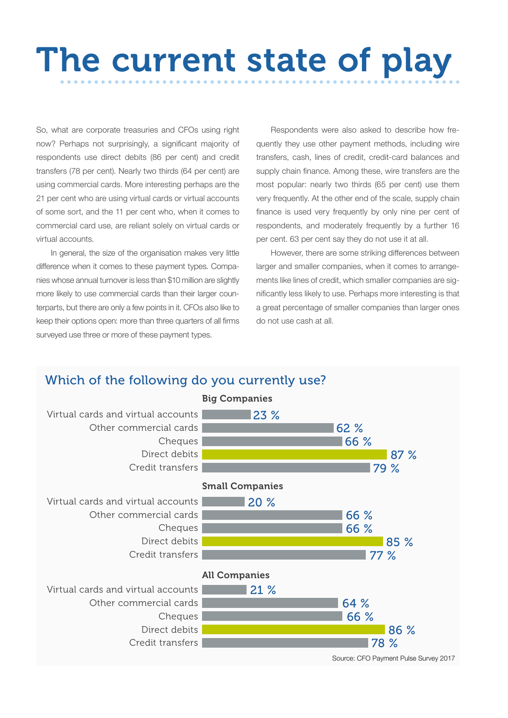## The current state of play

So, what are corporate treasuries and CFOs using right now? Perhaps not surprisingly, a significant majority of respondents use direct debits (86 per cent) and credit transfers (78 per cent). Nearly two thirds (64 per cent) are using commercial cards. More interesting perhaps are the 21 per cent who are using virtual cards or virtual accounts of some sort, and the 11 per cent who, when it comes to commercial card use, are reliant solely on virtual cards or virtual accounts.

In general, the size of the organisation makes very little difference when it comes to these payment types. Companies whose annual turnover is less than \$10 million are slightly more likely to use commercial cards than their larger counterparts, but there are only a few points in it. CFOs also like to keep their options open: more than three quarters of all firms surveyed use three or more of these payment types.

Respondents were also asked to describe how frequently they use other payment methods, including wire transfers, cash, lines of credit, credit-card balances and supply chain finance. Among these, wire transfers are the most popular: nearly two thirds (65 per cent) use them very frequently. At the other end of the scale, supply chain finance is used very frequently by only nine per cent of respondents, and moderately frequently by a further 16 per cent. 63 per cent say they do not use it at all.

However, there are some striking differences between larger and smaller companies, when it comes to arrangements like lines of credit, which smaller companies are significantly less likely to use. Perhaps more interesting is that a great percentage of smaller companies than larger ones do not use cash at all.

#### Which of the following do you currently use?

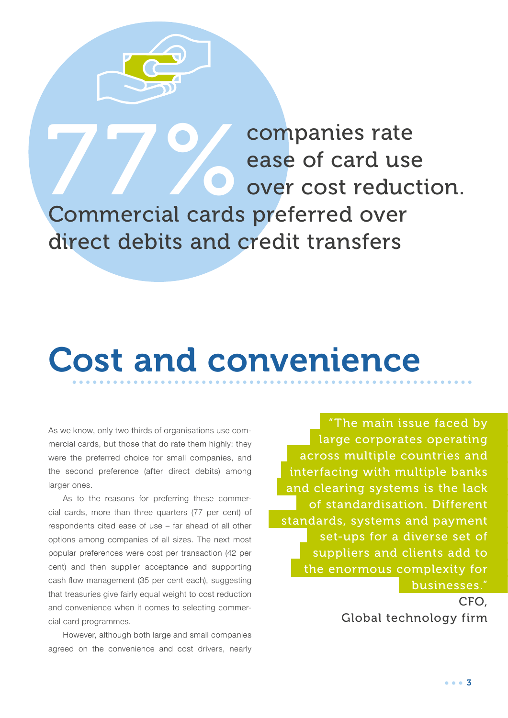**277 Companies rate<br>
277 Companies rate<br>
277 Commercial cards preferred over** over cost reduction. Commercial cards preferred over direct debits and credit transfers

ease of card use

### Cost and convenience

As we know, only two thirds of organisations use commercial cards, but those that do rate them highly: they were the preferred choice for small companies, and the second preference (after direct debits) among larger ones.

As to the reasons for preferring these commercial cards, more than three quarters (77 per cent) of respondents cited ease of use – far ahead of all other options among companies of all sizes. The next most popular preferences were cost per transaction (42 per cent) and then supplier acceptance and supporting cash flow management (35 per cent each), suggesting that treasuries give fairly equal weight to cost reduction and convenience when it comes to selecting commercial card programmes.

However, although both large and small companies agreed on the convenience and cost drivers, nearly

"The main issue faced by large corporates operating across multiple countries and interfacing with multiple banks and clearing systems is the lack of standardisation. Different standards, systems and payment set-ups for a diverse set of suppliers and clients add to the enormous complexity for businesses."

> CFO, Global technology firm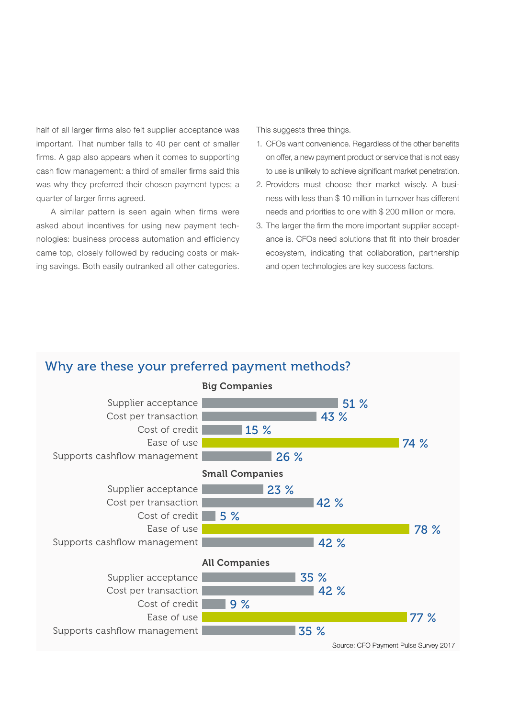half of all larger firms also felt supplier acceptance was important. That number falls to 40 per cent of smaller firms. A gap also appears when it comes to supporting cash flow management: a third of smaller firms said this was why they preferred their chosen payment types; a quarter of larger firms agreed.

A similar pattern is seen again when firms were asked about incentives for using new payment technologies: business process automation and efficiency came top, closely followed by reducing costs or making savings. Both easily outranked all other categories. This suggests three things.

- 1. CFOs want convenience. Regardless of the other benefits on offer, a new payment product or service that is not easy to use is unlikely to achieve significant market penetration.
- 2. Providers must choose their market wisely. A business with less than \$ 10 million in turnover has different needs and priorities to one with \$ 200 million or more.
- 3. The larger the firm the more important supplier acceptance is. CFOs need solutions that fit into their broader ecosystem, indicating that collaboration, partnership and open technologies are key success factors.

#### Why are these your preferred payment methods?

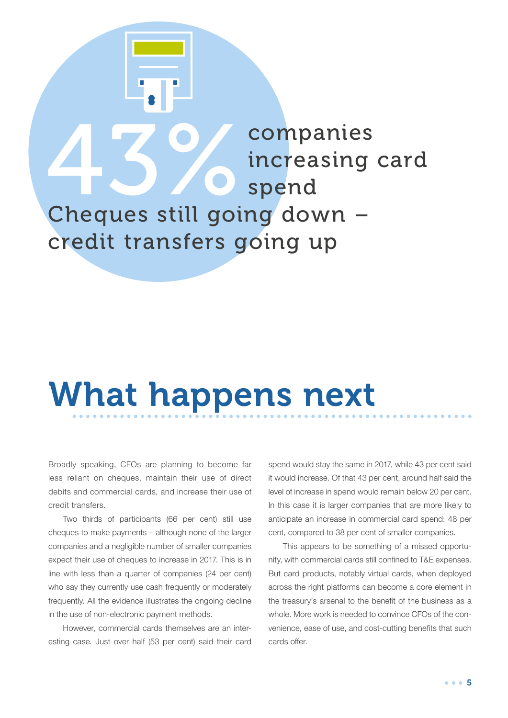### 43% companies<br>
increasing<br>
Cheques still going down – increasing card spend Cheques still going down – credit transfers going up

### What happens next

Broadly speaking, CFOs are planning to become far less reliant on cheques, maintain their use of direct debits and commercial cards, and increase their use of credit transfers.

Two thirds of participants (66 per cent) still use cheques to make payments – although none of the larger companies and a negligible number of smaller companies expect their use of cheques to increase in 2017. This is in line with less than a quarter of companies (24 per cent) who say they currently use cash frequently or moderately frequently. All the evidence illustrates the ongoing decline in the use of non-electronic payment methods.

However, commercial cards themselves are an interesting case. Just over half (53 per cent) said their card spend would stay the same in 2017, while 43 per cent said it would increase. Of that 43 per cent, around half said the level of increase in spend would remain below 20 per cent. In this case it is larger companies that are more likely to anticipate an increase in commercial card spend: 48 per cent, compared to 38 per cent of smaller companies.

This appears to be something of a missed opportunity, with commercial cards still confined to T&E expenses. But card products, notably virtual cards, when deployed across the right platforms can become a core element in the treasury's arsenal to the benefit of the business as a whole. More work is needed to convince CFOs of the convenience, ease of use, and cost-cutting benefits that such cards offer.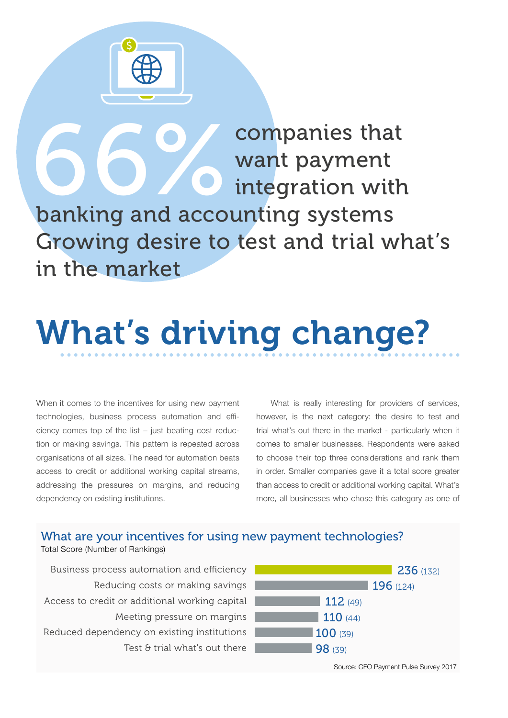

**666 Companies that**<br> **666 Companies that**<br> **666 Company of a conting systems** want payment integration with banking and accounting systems Growing desire to test and trial what's in the market

# What's driving change?

When it comes to the incentives for using new payment technologies, business process automation and efficiency comes top of the list – just beating cost reduction or making savings. This pattern is repeated across organisations of all sizes. The need for automation beats access to credit or additional working capital streams, addressing the pressures on margins, and reducing dependency on existing institutions.

What is really interesting for providers of services, however, is the next category: the desire to test and trial what's out there in the market - particularly when it comes to smaller businesses. Respondents were asked to choose their top three considerations and rank them in order. Smaller companies gave it a total score greater than access to credit or additional working capital. What's more, all businesses who chose this category as one of

#### What are your incentives for using new payment technologies?

Total Score (Number of Rankings)

Business process automation and efficiency Reducing costs or making savings Access to credit or additional working capital Meeting pressure on margins Reduced dependency on existing institutions Test & trial what's out there

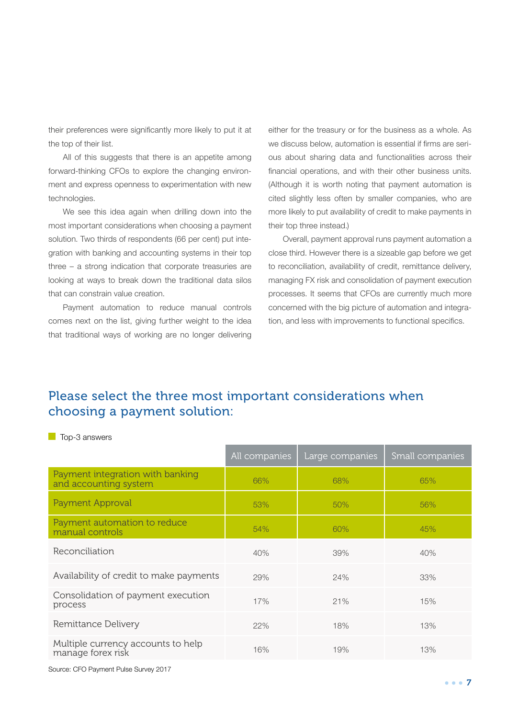their preferences were significantly more likely to put it at the top of their list.

All of this suggests that there is an appetite among forward-thinking CFOs to explore the changing environment and express openness to experimentation with new technologies.

We see this idea again when drilling down into the most important considerations when choosing a payment solution. Two thirds of respondents (66 per cent) put integration with banking and accounting systems in their top three – a strong indication that corporate treasuries are looking at ways to break down the traditional data silos that can constrain value creation.

Payment automation to reduce manual controls comes next on the list, giving further weight to the idea that traditional ways of working are no longer delivering either for the treasury or for the business as a whole. As we discuss below, automation is essential if firms are serious about sharing data and functionalities across their financial operations, and with their other business units. (Although it is worth noting that payment automation is cited slightly less often by smaller companies, who are more likely to put availability of credit to make payments in their top three instead.)

Overall, payment approval runs payment automation a close third. However there is a sizeable gap before we get to reconciliation, availability of credit, remittance delivery, managing FX risk and consolidation of payment execution processes. It seems that CFOs are currently much more concerned with the big picture of automation and integration, and less with improvements to functional specifics.

#### Please select the three most important considerations when choosing a payment solution:

**T** Top-3 answers

|                                                           | All companies | Large companies | Small companies |
|-----------------------------------------------------------|---------------|-----------------|-----------------|
| Payment integration with banking<br>and accounting system | 66%           | 68%             | 65%             |
| Payment Approval                                          | 53%           | 50%             | 56%             |
| Payment automation to reduce<br>manual controls           | 54%           | 60%             | 45%             |
| Reconciliation                                            | 40%           | 39%             | 40%             |
| Availability of credit to make payments                   | 29%           | 24%             | 33%             |
| Consolidation of payment execution<br>process             | 17%           | 21%             | 15%             |
| Remittance Delivery                                       | 22%           | 18%             | 13%             |
| Multiple currency accounts to help<br>manage forex risk   | 16%           | 19%             | 13%             |

Source: CFO Payment Pulse Survey 2017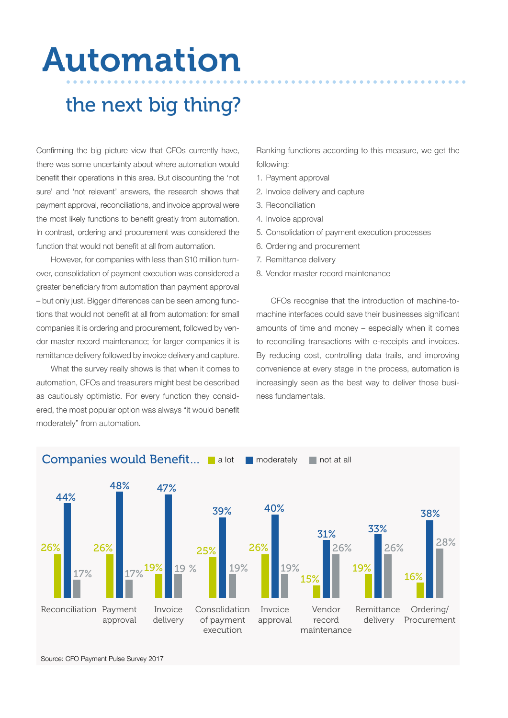### Automation

### the next big thing?

Confirming the big picture view that CFOs currently have, there was some uncertainty about where automation would benefit their operations in this area. But discounting the 'not sure' and 'not relevant' answers, the research shows that payment approval, reconciliations, and invoice approval were the most likely functions to benefit greatly from automation. In contrast, ordering and procurement was considered the function that would not benefit at all from automation.

However, for companies with less than \$10 million turnover, consolidation of payment execution was considered a greater beneficiary from automation than payment approval – but only just. Bigger differences can be seen among functions that would not benefit at all from automation: for small companies it is ordering and procurement, followed by vendor master record maintenance; for larger companies it is remittance delivery followed by invoice delivery and capture.

What the survey really shows is that when it comes to automation, CFOs and treasurers might best be described as cautiously optimistic. For every function they considered, the most popular option was always "it would benefit moderately" from automation.

Ranking functions according to this measure, we get the following:

- 1. Payment approval
- 2. Invoice delivery and capture
- 3. Reconciliation
- 4. Invoice approval
- 5. Consolidation of payment execution processes
- 6. Ordering and procurement
- 7. Remittance delivery
- 8. Vendor master record maintenance

CFOs recognise that the introduction of machine-tomachine interfaces could save their businesses significant amounts of time and money – especially when it comes to reconciling transactions with e-receipts and invoices. By reducing cost, controlling data trails, and improving convenience at every stage in the process, automation is increasingly seen as the best way to deliver those business fundamentals.



Source: CFO Payment Pulse Survey 2017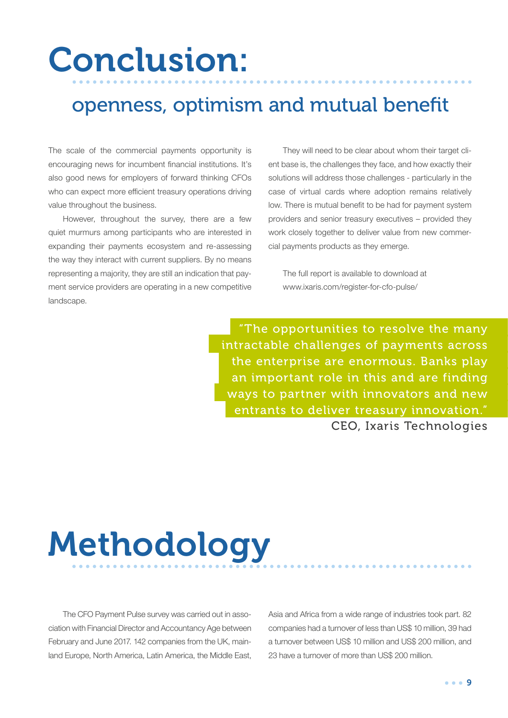### Conclusion:

### openness, optimism and mutual benefit

The scale of the commercial payments opportunity is encouraging news for incumbent financial institutions. It's also good news for employers of forward thinking CFOs who can expect more efficient treasury operations driving value throughout the business.

However, throughout the survey, there are a few quiet murmurs among participants who are interested in expanding their payments ecosystem and re-assessing the way they interact with current suppliers. By no means representing a majority, they are still an indication that payment service providers are operating in a new competitive landscape.

They will need to be clear about whom their target client base is, the challenges they face, and how exactly their solutions will address those challenges - particularly in the case of virtual cards where adoption remains relatively low. There is mutual benefit to be had for payment system providers and senior treasury executives – provided they work closely together to deliver value from new commercial payments products as they emerge.

The full report is available to download at www.ixaris.com/register-for-cfo-pulse/

"The opportunities to resolve the many intractable challenges of payments across the enterprise are enormous. Banks play an important role in this and are finding ways to partner with innovators and new entrants to deliver treasury innovation." CEO, Ixaris Technologies

# Methodology

The CFO Payment Pulse survey was carried out in association with Financial Director and Accountancy Age between February and June 2017. 142 companies from the UK, mainland Europe, North America, Latin America, the Middle East,

Asia and Africa from a wide range of industries took part. 82 companies had a turnover of less than US\$ 10 million, 39 had a turnover between US\$ 10 million and US\$ 200 million, and 23 have a turnover of more than US\$ 200 million.